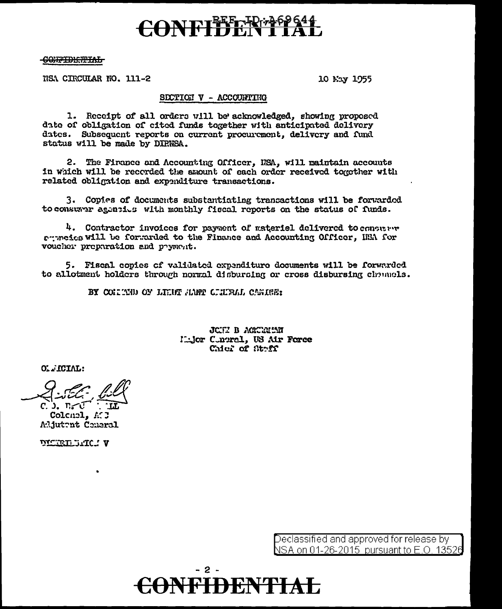## NFIFFERE

<del>CONFIDE.TIML</del>

NSA CIRCULAR NO. 111-2

10 May 1955

#### SECTION V - ACCOUNTING

1. Receipt of all orders will be acknowledged, showing proposed date of obligation of cited funds together with anticipated delivery dates. Subsequent reports on current procurement, delivery and fund status will be made by DIRNSA.

2. The Firance and Accounting Officer, NSA, will maintain accounts in which will be recorded the amount of each order received together with related obligation and expenditure transactions.

3. Copies of documents substantiating transactions will be forwarded to consumer agentius with monthly fiscal reports on the status of funds.

4. Contractor invoices for payment of materiel delivered to consumer permetes will be forwarded to the Finance and Accounting Officer. HEA for voucher preparation and payment.

5. Fiscal copies of validated expenditure documents will be forwarded to allotment holders through normal disbursing or cross disbursing channels.

BY CONNETIND OF LINE HAFF CLUBAL CANDER:

JCHI B AGKURIMI Mijor Cintral, US Air Force Chief of Strff

OLLICIAL:

ር ). ከረር

Colenel, A.J Aliutent Coneral

VICELLUAC: V

Declassified and approved for release by NSA on 01-26-2015 pursuant to E.O. 13526